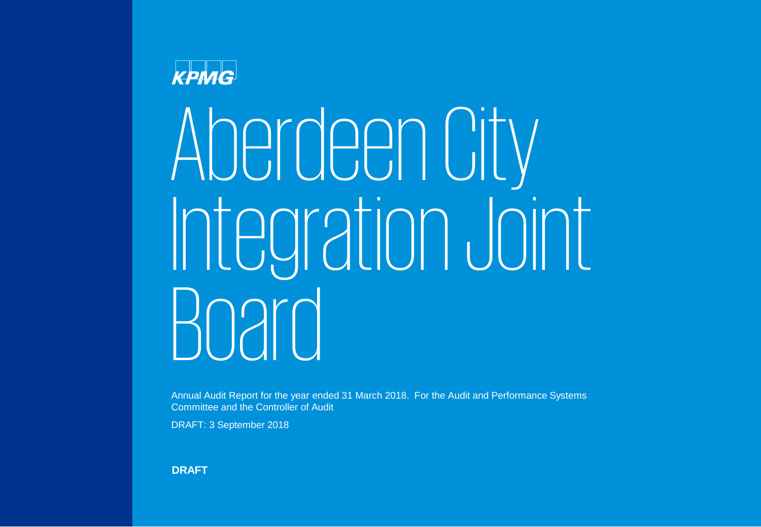Aberdeen City Integration Joint Board

Annual Audit Report for the year ended 31 March 2018. For the Audit and Performance Systems Committee and the Controller of Audit

DRAFT: 3 September 2018

**DRAFT**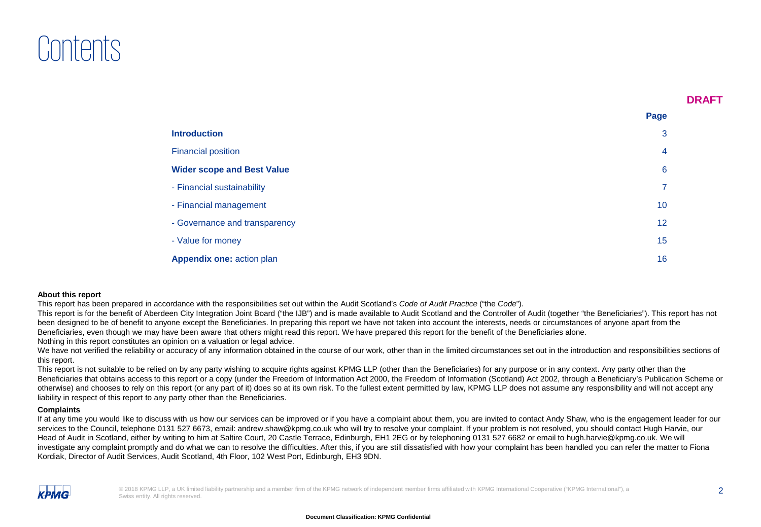# Contents

**Page**

|                                   | $-22$ |  |
|-----------------------------------|-------|--|
| <b>Introduction</b>               | 3     |  |
| <b>Financial position</b>         | 4     |  |
| <b>Wider scope and Best Value</b> | 6     |  |
| - Financial sustainability        |       |  |
| - Financial management            | 10    |  |
| - Governance and transparency     | 12    |  |
| - Value for money                 | 15    |  |
| <b>Appendix one: action plan</b>  | 16    |  |

#### **About this report**

This report has been prepared in accordance with the responsibilities set out within the Audit Scotland's *Code of Audit Practice* ("the *Code*").

This report is for the benefit of Aberdeen City Integration Joint Board ("the IJB") and is made available to Audit Scotland and the Controller of Audit (together "the Beneficiaries"). This report has not been designed to be of benefit to anyone except the Beneficiaries. In preparing this report we have not taken into account the interests, needs or circumstances of anyone apart from the Beneficiaries, even though we may have been aware that others might read this report. We have prepared this report for the benefit of the Beneficiaries alone. Nothing in this report constitutes an opinion on a valuation or legal advice.

We have not verified the reliability or accuracy of any information obtained in the course of our work, other than in the limited circumstances set out in the introduction and responsibilities sections of this report.

This report is not suitable to be relied on by any party wishing to acquire rights against KPMG LLP (other than the Beneficiaries) for any purpose or in any context. Any party other than the Beneficiaries that obtains access to this report or a copy (under the Freedom of Information Act 2000, the Freedom of Information (Scotland) Act 2002, through a Beneficiary's Publication Scheme or otherwise) and chooses to rely on this report (or any part of it) does so at its own risk. To the fullest extent permitted by law, KPMG LLP does not assume any responsibility and will not accept any liability in respect of this report to any party other than the Beneficiaries.

#### **Complaints**

If at any time you would like to discuss with us how our services can be improved or if you have a complaint about them, you are invited to contact Andy Shaw, who is the engagement leader for our services to the Council, telephone 0131 527 6673, email: andrew.shaw@kpmg.co.uk who will try to resolve your complaint. If your problem is not resolved, you should contact Hugh Harvie, our Head of Audit in Scotland, either by writing to him at Saltire Court, 20 Castle Terrace, Edinburgh, EH1 2EG or by telephoning 0131 527 6682 or email to hugh.harvie@kpmg.co.uk. We will investigate any complaint promptly and do what we can to resolve the difficulties. After this, if you are still dissatisfied with how your complaint has been handled you can refer the matter to Fiona Kordiak, Director of Audit Services, Audit Scotland, 4th Floor, 102 West Port, Edinburgh, EH3 9DN.

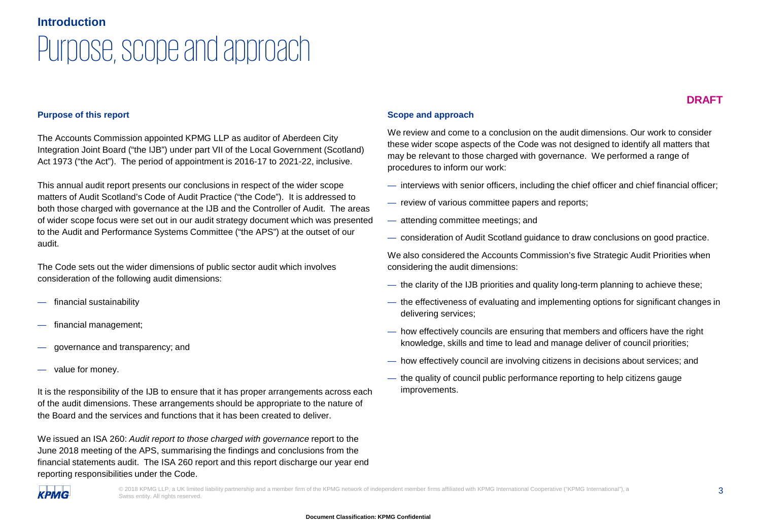### **Introduction**

# Purpose, scope and approach

#### **DRAFT**

#### **Purpose of this report**

The Accounts Commission appointed KPMG LLP as auditor of Aberdeen City Integration Joint Board ("the IJB") under part VII of the Local Government (Scotland) Act 1973 ("the Act"). The period of appointment is 2016-17 to 2021-22, inclusive.

This annual audit report presents our conclusions in respect of the wider scope matters of Audit Scotland's Code of Audit Practice ("the Code"). It is addressed to both those charged with governance at the IJB and the Controller of Audit. The areas of wider scope focus were set out in our audit strategy document which was presented to the Audit and Performance Systems Committee ("the APS") at the outset of our audit.

The Code sets out the wider dimensions of public sector audit which involves consideration of the following audit dimensions:

- financial sustainability
- financial management;
- governance and transparency; and
- value for money.

It is the responsibility of the IJB to ensure that it has proper arrangements across each of the audit dimensions. These arrangements should be appropriate to the nature of the Board and the services and functions that it has been created to deliver.

We issued an ISA 260: *Audit report to those charged with governance* report to the June 2018 meeting of the APS, summarising the findings and conclusions from the financial statements audit. The ISA 260 report and this report discharge our year end reporting responsibilities under the Code.

#### **Scope and approach**

We review and come to a conclusion on the audit dimensions. Our work to consider these wider scope aspects of the Code was not designed to identify all matters that may be relevant to those charged with governance. We performed a range of procedures to inform our work:

- interviews with senior officers, including the chief officer and chief financial officer;
- review of various committee papers and reports;
- attending committee meetings; and
- consideration of Audit Scotland guidance to draw conclusions on good practice.

We also considered the Accounts Commission's five Strategic Audit Priorities when considering the audit dimensions:

- the clarity of the IJB priorities and quality long-term planning to achieve these;
- the effectiveness of evaluating and implementing options for significant changes in delivering services;
- how effectively councils are ensuring that members and officers have the right knowledge, skills and time to lead and manage deliver of council priorities;
- how effectively council are involving citizens in decisions about services; and
- the quality of council public performance reporting to help citizens gauge improvements.



© 2018 KPMG LLP, a UK limited liability partnership and a member firm of the KPMG network of independent member firms affiliated with KPMG International Cooperative ("KPMG International"), a Swiss entity. All rights reserved.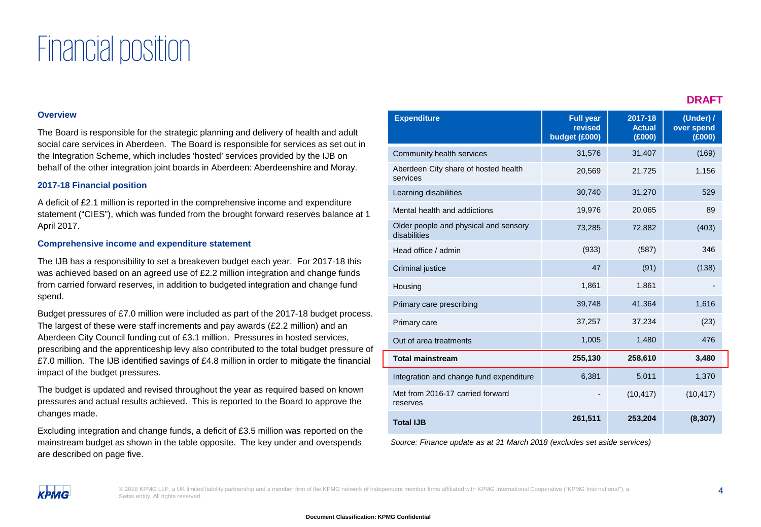# Financial position

#### **Overview**

The Board is responsible for the strategic planning and delivery of health and adult social care services in Aberdeen. The Board is responsible for services as set out in the Integration Scheme, which includes 'hosted' services provided by the IJB on behalf of the other integration joint boards in Aberdeen: Aberdeenshire and Moray.

#### **2017-18 Financial position**

A deficit of £2.1 million is reported in the comprehensive income and expenditure statement ("CIES"), which was funded from the brought forward reserves balance at 1 April 2017.

#### **Comprehensive income and expenditure statement**

The IJB has a responsibility to set a breakeven budget each year. For 2017-18 this was achieved based on an agreed use of £2.2 million integration and change funds from carried forward reserves, in addition to budgeted integration and change fund spend.

Budget pressures of £7.0 million were included as part of the 2017-18 budget process. The largest of these were staff increments and pay awards (£2.2 million) and an Aberdeen City Council funding cut of £3.1 million. Pressures in hosted services, prescribing and the apprenticeship levy also contributed to the total budget pressure of £7.0 million. The IJB identified savings of £4.8 million in order to mitigate the financial impact of the budget pressures.

The budget is updated and revised throughout the year as required based on known pressures and actual results achieved. This is reported to the Board to approve the changes made.

Excluding integration and change funds, a deficit of £3.5 million was reported on the mainstream budget as shown in the table opposite. The key under and overspends are described on page five.

| <b>Expenditure</b>                                    | <b>Full year</b><br>revised<br>budget (£000) | 2017-18<br><b>Actual</b><br>(E000) | (Under) /<br>over spend<br>(E000) |
|-------------------------------------------------------|----------------------------------------------|------------------------------------|-----------------------------------|
| Community health services                             | 31,576                                       | 31,407                             | (169)                             |
| Aberdeen City share of hosted health<br>services      | 20,569                                       | 21,725                             | 1,156                             |
| Learning disabilities                                 | 30,740                                       | 31,270                             | 529                               |
| Mental health and addictions                          | 19,976                                       | 20,065                             | 89                                |
| Older people and physical and sensory<br>disabilities | 73,285                                       | 72,882                             | (403)                             |
| Head office / admin                                   | (933)                                        | (587)                              | 346                               |
| <b>Criminal justice</b>                               | 47                                           | (91)                               | (138)                             |
| Housing                                               | 1,861                                        | 1,861                              |                                   |
| Primary care prescribing                              | 39,748                                       | 41,364                             | 1,616                             |
| Primary care                                          | 37,257                                       | 37,234                             | (23)                              |
| Out of area treatments                                | 1,005                                        | 1,480                              | 476                               |
| <b>Total mainstream</b>                               | 255,130                                      | 258,610                            | 3,480                             |
| Integration and change fund expenditure               | 6,381                                        | 5,011                              | 1,370                             |
| Met from 2016-17 carried forward<br>reserves          |                                              | (10, 417)                          | (10, 417)                         |
| <b>Total IJB</b>                                      | 261,511                                      | 253,204                            | (8, 307)                          |

*Source: Finance update as at 31 March 2018 (excludes set aside services)*

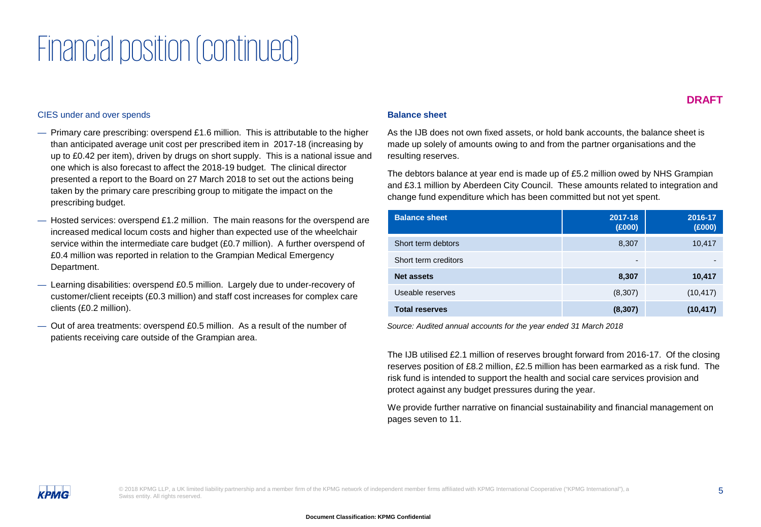# Financial position (continued)

#### CIES under and over spends

- Primary care prescribing: overspend £1.6 million. This is attributable to the higher than anticipated average unit cost per prescribed item in 2017-18 (increasing by up to £0.42 per item), driven by drugs on short supply. This is a national issue and one which is also forecast to affect the 2018-19 budget. The clinical director presented a report to the Board on 27 March 2018 to set out the actions being taken by the primary care prescribing group to mitigate the impact on the prescribing budget.
- $-$  Hosted services: overspend £1.2 million. The main reasons for the overspend are increased medical locum costs and higher than expected use of the wheelchair service within the intermediate care budget (£0.7 million). A further overspend of £0.4 million was reported in relation to the Grampian Medical Emergency Department.
- Learning disabilities: overspend £0.5 million. Largely due to under-recovery of customer/client receipts (£0.3 million) and staff cost increases for complex care clients (£0.2 million).
- Out of area treatments: overspend £0.5 million. As a result of the number of patients receiving care outside of the Grampian area.

#### **DRAFT**

#### **Balance sheet**

As the IJB does not own fixed assets, or hold bank accounts, the balance sheet is made up solely of amounts owing to and from the partner organisations and the resulting reserves.

The debtors balance at year end is made up of £5.2 million owed by NHS Grampian and £3.1 million by Aberdeen City Council. These amounts related to integration and change fund expenditure which has been committed but not yet spent.

| <b>Balance sheet</b>  | 2017-18<br>(E000)        | 2016-17<br>(E000) |
|-----------------------|--------------------------|-------------------|
| Short term debtors    | 8,307                    | 10,417            |
| Short term creditors  | $\overline{\phantom{0}}$ |                   |
| <b>Net assets</b>     | 8,307                    | 10,417            |
| Useable reserves      | (8, 307)                 | (10, 417)         |
| <b>Total reserves</b> | (8, 307)                 | (10, 417)         |

*Source: Audited annual accounts for the year ended 31 March 2018* 

The IJB utilised £2.1 million of reserves brought forward from 2016-17. Of the closing reserves position of £8.2 million, £2.5 million has been earmarked as a risk fund. The risk fund is intended to support the health and social care services provision and protect against any budget pressures during the year.

We provide further narrative on financial sustainability and financial management on pages seven to 11.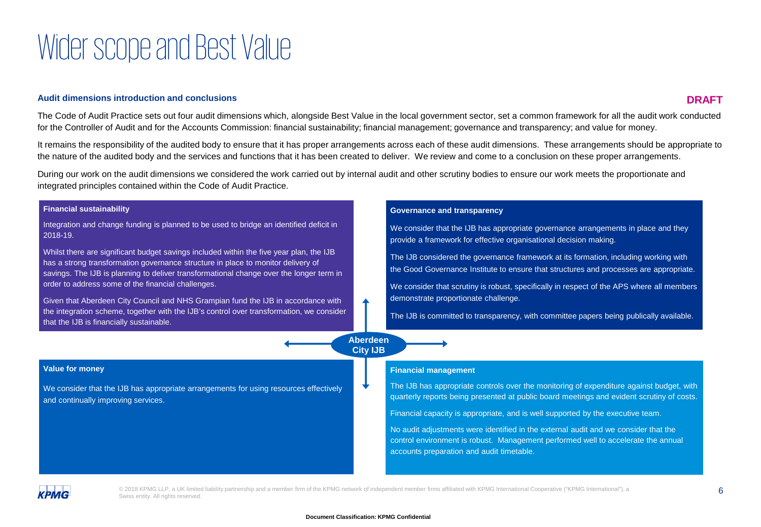# Wider scope and Best Value

#### **Audit dimensions introduction and conclusions**

**DRAFT**

The Code of Audit Practice sets out four audit dimensions which, alongside Best Value in the local government sector, set a common framework for all the audit work conducted for the Controller of Audit and for the Accounts Commission: financial sustainability; financial management; governance and transparency; and value for money.

It remains the responsibility of the audited body to ensure that it has proper arrangements across each of these audit dimensions. These arrangements should be appropriate to the nature of the audited body and the services and functions that it has been created to deliver. We review and come to a conclusion on these proper arrangements.

During our work on the audit dimensions we considered the work carried out by internal audit and other scrutiny bodies to ensure our work meets the proportionate and integrated principles contained within the Code of Audit Practice.

| <b>Financial sustainability</b>                                                                                                                                                                                                                                        |                                    | <b>Governance and transparency</b>                                                                                                                                                    |
|------------------------------------------------------------------------------------------------------------------------------------------------------------------------------------------------------------------------------------------------------------------------|------------------------------------|---------------------------------------------------------------------------------------------------------------------------------------------------------------------------------------|
| Integration and change funding is planned to be used to bridge an identified deficit in<br>2018-19.                                                                                                                                                                    |                                    | We consider that the IJB has appropriate governance arrangements in place and they<br>provide a framework for effective organisational decision making.                               |
| Whilst there are significant budget savings included within the five year plan, the IJB<br>has a strong transformation governance structure in place to monitor delivery of<br>savings. The IJB is planning to deliver transformational change over the longer term in |                                    | The IJB considered the governance framework at its formation, including working with<br>the Good Governance Institute to ensure that structures and processes are appropriate.        |
| order to address some of the financial challenges.                                                                                                                                                                                                                     |                                    | We consider that scrutiny is robust, specifically in respect of the APS where all members                                                                                             |
| Given that Aberdeen City Council and NHS Grampian fund the IJB in accordance with                                                                                                                                                                                      |                                    | demonstrate proportionate challenge.                                                                                                                                                  |
| the integration scheme, together with the IJB's control over transformation, we consider<br>that the IJB is financially sustainable.                                                                                                                                   |                                    | The IJB is committed to transparency, with committee papers being publically available.                                                                                               |
|                                                                                                                                                                                                                                                                        | <b>Aberdeen</b><br><b>City IJB</b> |                                                                                                                                                                                       |
| <b>Value for money</b>                                                                                                                                                                                                                                                 |                                    | <b>Financial management</b>                                                                                                                                                           |
| We consider that the IJB has appropriate arrangements for using resources effectively<br>and continually improving services.                                                                                                                                           |                                    | The IJB has appropriate controls over the monitoring of expenditure against budget, with<br>quarterly reports being presented at public board meetings and evident scrutiny of costs. |
|                                                                                                                                                                                                                                                                        |                                    | Financial capacity is appropriate, and is well supported by the executive team.                                                                                                       |
|                                                                                                                                                                                                                                                                        |                                    |                                                                                                                                                                                       |



© 2018 KPMG LLP, a UK limited liability partnership and a member firm of the KPMG network of independent member firms affiliated with KPMG International Cooperative ("KPMG International"), a Swiss entity. All rights reserved.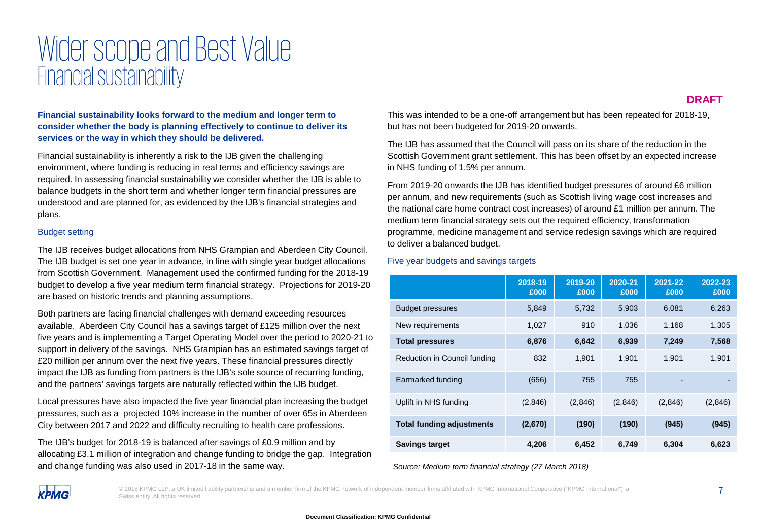## Wider scope and Best Value Financial sustainability

**Financial sustainability looks forward to the medium and longer term to consider whether the body is planning effectively to continue to deliver its services or the way in which they should be delivered.**

Financial sustainability is inherently a risk to the IJB given the challenging environment, where funding is reducing in real terms and efficiency savings are required. In assessing financial sustainability we consider whether the IJB is able to balance budgets in the short term and whether longer term financial pressures are understood and are planned for, as evidenced by the IJB's financial strategies and plans.

#### Budget setting

The IJB receives budget allocations from NHS Grampian and Aberdeen City Council. The IJB budget is set one year in advance, in line with single year budget allocations from Scottish Government. Management used the confirmed funding for the 2018-19 budget to develop a five year medium term financial strategy. Projections for 2019-20 are based on historic trends and planning assumptions.

Both partners are facing financial challenges with demand exceeding resources available. Aberdeen City Council has a savings target of £125 million over the next five years and is implementing a Target Operating Model over the period to 2020-21 to support in delivery of the savings. NHS Grampian has an estimated savings target of £20 million per annum over the next five years. These financial pressures directly impact the IJB as funding from partners is the IJB's sole source of recurring funding, and the partners' savings targets are naturally reflected within the IJB budget.

Local pressures have also impacted the five year financial plan increasing the budget pressures, such as a projected 10% increase in the number of over 65s in Aberdeen City between 2017 and 2022 and difficulty recruiting to health care professions.

The IJB's budget for 2018-19 is balanced after savings of £0.9 million and by allocating £3.1 million of integration and change funding to bridge the gap. Integration and change funding was also used in 2017-18 in the same way.

**DRAFT**

This was intended to be a one-off arrangement but has been repeated for 2018-19, but has not been budgeted for 2019-20 onwards.

The IJB has assumed that the Council will pass on its share of the reduction in the Scottish Government grant settlement. This has been offset by an expected increase in NHS funding of 1.5% per annum.

From 2019-20 onwards the IJB has identified budget pressures of around £6 million per annum, and new requirements (such as Scottish living wage cost increases and the national care home contract cost increases) of around £1 million per annum. The medium term financial strategy sets out the required efficiency, transformation programme, medicine management and service redesign savings which are required to deliver a balanced budget.

#### Five year budgets and savings targets

|                                  | 2018-19<br>£000 | 2019-20<br>£000 | 2020-21<br>£000 | 2021-22<br>£000          | 2022-23<br>£000 |
|----------------------------------|-----------------|-----------------|-----------------|--------------------------|-----------------|
| <b>Budget pressures</b>          | 5,849           | 5,732           | 5,903           | 6.081                    | 6,263           |
| New requirements                 | 1,027           | 910             | 1,036           | 1.168                    | 1,305           |
| <b>Total pressures</b>           | 6,876           | 6,642           | 6,939           | 7.249                    | 7,568           |
| Reduction in Council funding     | 832             | 1,901           | 1,901           | 1,901                    | 1,901           |
| Earmarked funding                | (656)           | 755             | 755             | $\overline{\phantom{a}}$ |                 |
| Uplift in NHS funding            | (2,846)         | (2,846)         | (2,846)         | (2,846)                  | (2,846)         |
| <b>Total funding adjustments</b> | (2,670)         | (190)           | (190)           | (945)                    | (945)           |
| <b>Savings target</b>            | 4,206           | 6,452           | 6,749           | 6,304                    | 6,623           |

*Source: Medium term financial strategy (27 March 2018)*



© 2018 KPMG LLP, a UK limited liability partnership and a member firm of the KPMG network of independent member firms affiliated with KPMG International Cooperative ("KPMG International"), a Swiss entity. All rights reserved.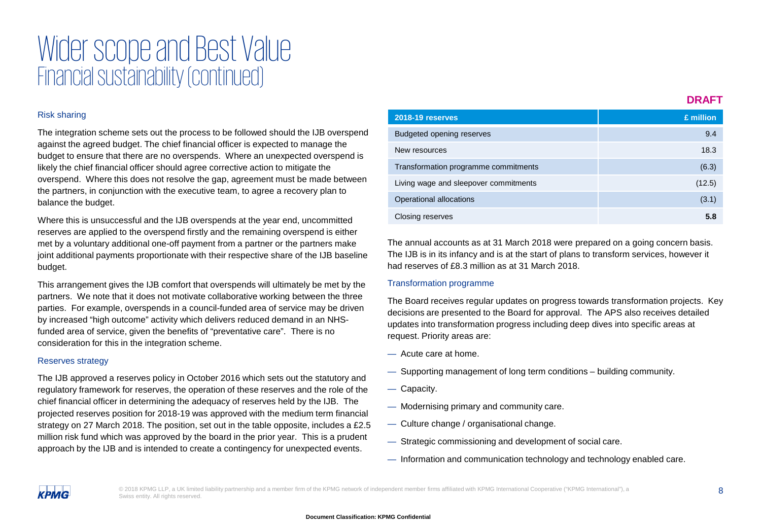## Wider scope and Best Value Financial sustainability (continued)

#### Risk sharing

The integration scheme sets out the process to be followed should the IJB overspend against the agreed budget. The chief financial officer is expected to manage the budget to ensure that there are no overspends. Where an unexpected overspend is likely the chief financial officer should agree corrective action to mitigate the overspend. Where this does not resolve the gap, agreement must be made between the partners, in conjunction with the executive team, to agree a recovery plan to balance the budget.

Where this is unsuccessful and the IJB overspends at the year end, uncommitted reserves are applied to the overspend firstly and the remaining overspend is either met by a voluntary additional one-off payment from a partner or the partners make joint additional payments proportionate with their respective share of the IJB baseline budget.

This arrangement gives the IJB comfort that overspends will ultimately be met by the partners. We note that it does not motivate collaborative working between the three parties. For example, overspends in a council-funded area of service may be driven by increased "high outcome" activity which delivers reduced demand in an NHSfunded area of service, given the benefits of "preventative care". There is no consideration for this in the integration scheme.

#### Reserves strategy

The IJB approved a reserves policy in October 2016 which sets out the statutory and regulatory framework for reserves, the operation of these reserves and the role of the chief financial officer in determining the adequacy of reserves held by the IJB. The projected reserves position for 2018-19 was approved with the medium term financial strategy on 27 March 2018. The position, set out in the table opposite, includes a £2.5 million risk fund which was approved by the board in the prior year. This is a prudent approach by the IJB and is intended to create a contingency for unexpected events.

| 2018-19 reserves                      | £ million |
|---------------------------------------|-----------|
| <b>Budgeted opening reserves</b>      | 9.4       |
| New resources                         | 18.3      |
| Transformation programme commitments  | (6.3)     |
| Living wage and sleepover commitments | (12.5)    |
| Operational allocations               | (3.1)     |
| Closing reserves                      | 5.8       |

The annual accounts as at 31 March 2018 were prepared on a going concern basis. The IJB is in its infancy and is at the start of plans to transform services, however it had reserves of £8.3 million as at 31 March 2018.

#### Transformation programme

The Board receives regular updates on progress towards transformation projects. Key decisions are presented to the Board for approval. The APS also receives detailed updates into transformation progress including deep dives into specific areas at request. Priority areas are:

- Acute care at home.
- Supporting management of long term conditions building community.
- Capacity.

.

- Modernising primary and community care.
- Culture change / organisational change.
- Strategic commissioning and development of social care.
- Information and communication technology and technology enabled care.



© 2018 KPMG LLP, a UK limited liability partnership and a member firm of the KPMG network of independent member firms affiliated with KPMG International Cooperative ("KPMG International"), a Swiss entity. All rights reserved.

**DRAFT**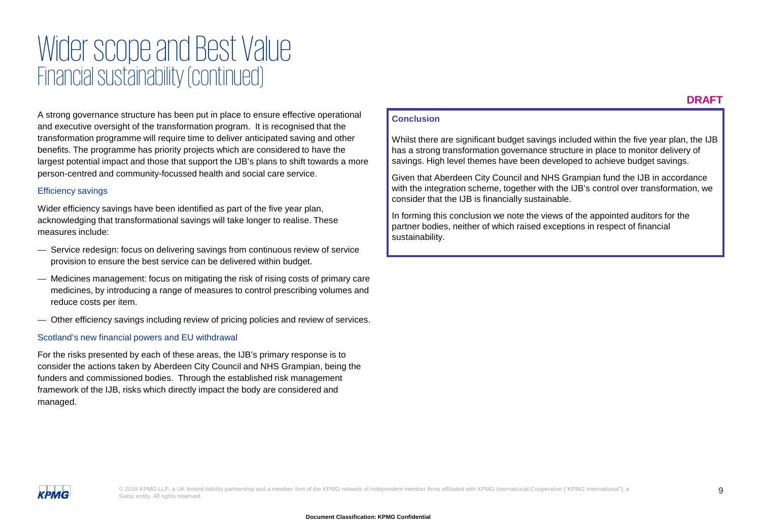## Wider scope and Best Value Financial sustainability (continued)

A strong governance structure has been put in place to ensure effective operational and executive oversight of the transformation program. It is recognised that the transformation programme will require time to deliver anticipated saving and other benefits. The programme has priority projects which are considered to have the largest potential impact and those that support the IJB's plans to shift towards a more person-centred and community-focussed health and social care service.

#### Efficiency savings

Wider efficiency savings have been identified as part of the five year plan, acknowledging that transformational savings will take longer to realise. These measures include:

- Service redesign: focus on delivering savings from continuous review of service provision to ensure the best service can be delivered within budget.
- Medicines management: focus on mitigating the risk of rising costs of primary care medicines, by introducing a range of measures to control prescribing volumes and reduce costs per item.
- Other efficiency savings including review of pricing policies and review of services.

#### Scotland's new financial powers and EU withdrawal

For the risks presented by each of these areas, the IJB's primary response is to consider the actions taken by Aberdeen City Council and NHS Grampian, being the funders and commissioned bodies. Through the established risk management framework of the IJB, risks which directly impact the body are considered and managed.

#### **Conclusion**

Whilst there are significant budget savings included within the five year plan, the IJB has a strong transformation governance structure in place to monitor delivery of savings. High level themes have been developed to achieve budget savings.

Given that Aberdeen City Council and NHS Grampian fund the IJB in accordance with the integration scheme, together with the IJB's control over transformation, we consider that the IJB is financially sustainable.

In forming this conclusion we note the views of the appointed auditors for the partner bodies, neither of which raised exceptions in respect of financial sustainability.

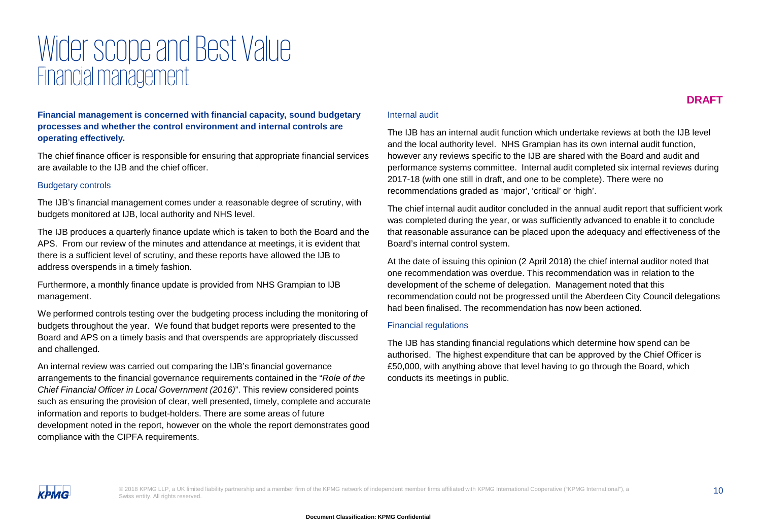## Wider scope and Best Value Financial management

**Financial management is concerned with financial capacity, sound budgetary processes and whether the control environment and internal controls are operating effectively.**

The chief finance officer is responsible for ensuring that appropriate financial services are available to the IJB and the chief officer.

#### Budgetary controls

The IJB's financial management comes under a reasonable degree of scrutiny, with budgets monitored at IJB, local authority and NHS level.

The IJB produces a quarterly finance update which is taken to both the Board and the APS. From our review of the minutes and attendance at meetings, it is evident that there is a sufficient level of scrutiny, and these reports have allowed the IJB to address overspends in a timely fashion.

Furthermore, a monthly finance update is provided from NHS Grampian to IJB management.

We performed controls testing over the budgeting process including the monitoring of budgets throughout the year. We found that budget reports were presented to the Board and APS on a timely basis and that overspends are appropriately discussed and challenged.

An internal review was carried out comparing the IJB's financial governance arrangements to the financial governance requirements contained in the "*Role of the Chief Financial Officer in Local Government (2016)*". This review considered points such as ensuring the provision of clear, well presented, timely, complete and accurate information and reports to budget-holders. There are some areas of future development noted in the report, however on the whole the report demonstrates good compliance with the CIPFA requirements.

#### Internal audit

The IJB has an internal audit function which undertake reviews at both the IJB level and the local authority level. NHS Grampian has its own internal audit function, however any reviews specific to the IJB are shared with the Board and audit and performance systems committee. Internal audit completed six internal reviews during 2017-18 (with one still in draft, and one to be complete). There were no recommendations graded as 'major', 'critical' or 'high'.

The chief internal audit auditor concluded in the annual audit report that sufficient work was completed during the year, or was sufficiently advanced to enable it to conclude that reasonable assurance can be placed upon the adequacy and effectiveness of the Board's internal control system.

At the date of issuing this opinion (2 April 2018) the chief internal auditor noted that one recommendation was overdue. This recommendation was in relation to the development of the scheme of delegation. Management noted that this recommendation could not be progressed until the Aberdeen City Council delegations had been finalised. The recommendation has now been actioned.

#### Financial regulations

The IJB has standing financial regulations which determine how spend can be authorised. The highest expenditure that can be approved by the Chief Officer is £50,000, with anything above that level having to go through the Board, which conducts its meetings in public.

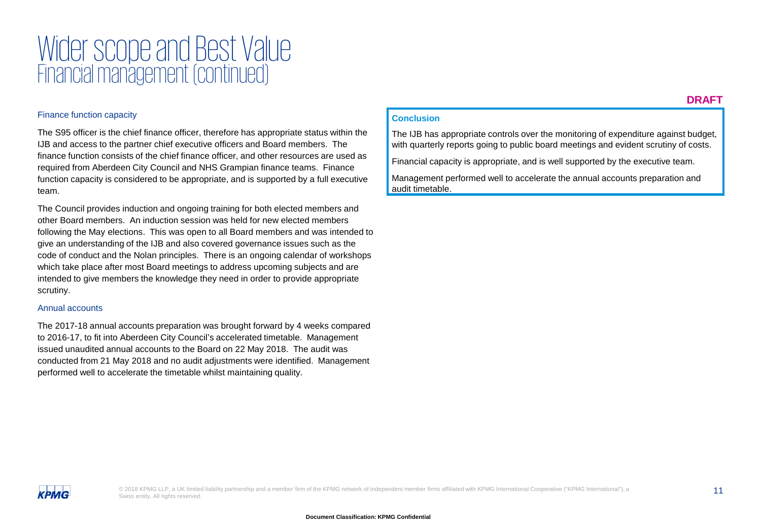## Wider scope and Best Value Financial management (continued)

#### Finance function capacity

The S95 officer is the chief finance officer, therefore has appropriate status within the IJB and access to the partner chief executive officers and Board members. The finance function consists of the chief finance officer, and other resources are used as required from Aberdeen City Council and NHS Grampian finance teams. Finance function capacity is considered to be appropriate, and is supported by a full executive team.

The Council provides induction and ongoing training for both elected members and other Board members. An induction session was held for new elected members following the May elections. This was open to all Board members and was intended to give an understanding of the IJB and also covered governance issues such as the code of conduct and the Nolan principles. There is an ongoing calendar of workshops which take place after most Board meetings to address upcoming subjects and are intended to give members the knowledge they need in order to provide appropriate scrutiny.

#### Annual accounts

The 2017-18 annual accounts preparation was brought forward by 4 weeks compared to 2016-17, to fit into Aberdeen City Council's accelerated timetable. Management issued unaudited annual accounts to the Board on 22 May 2018. The audit was conducted from 21 May 2018 and no audit adjustments were identified. Management performed well to accelerate the timetable whilst maintaining quality.

#### **DRAFT**

#### **Conclusion**

The IJB has appropriate controls over the monitoring of expenditure against budget, with quarterly reports going to public board meetings and evident scrutiny of costs.

Financial capacity is appropriate, and is well supported by the executive team.

Management performed well to accelerate the annual accounts preparation and audit timetable.

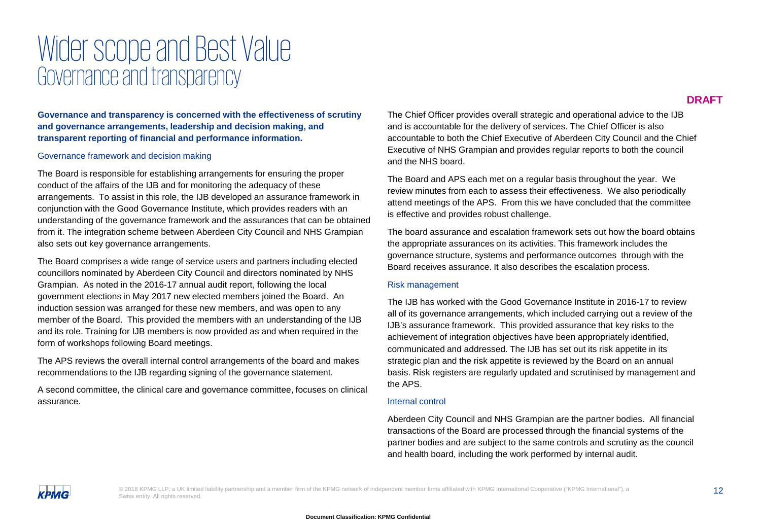### Wider scope and Best Value Governance and transparency

**Governance and transparency is concerned with the effectiveness of scrutiny and governance arrangements, leadership and decision making, and transparent reporting of financial and performance information.** 

#### Governance framework and decision making

The Board is responsible for establishing arrangements for ensuring the proper conduct of the affairs of the IJB and for monitoring the adequacy of these arrangements. To assist in this role, the IJB developed an assurance framework in conjunction with the Good Governance Institute, which provides readers with an understanding of the governance framework and the assurances that can be obtained from it. The integration scheme between Aberdeen City Council and NHS Grampian also sets out key governance arrangements.

The Board comprises a wide range of service users and partners including elected councillors nominated by Aberdeen City Council and directors nominated by NHS Grampian. As noted in the 2016-17 annual audit report, following the local government elections in May 2017 new elected members joined the Board. An induction session was arranged for these new members, and was open to any member of the Board. This provided the members with an understanding of the IJB and its role. Training for IJB members is now provided as and when required in the form of workshops following Board meetings.

The APS reviews the overall internal control arrangements of the board and makes recommendations to the IJB regarding signing of the governance statement.

A second committee, the clinical care and governance committee, focuses on clinical assurance.

The Chief Officer provides overall strategic and operational advice to the IJB and is accountable for the delivery of services. The Chief Officer is also accountable to both the Chief Executive of Aberdeen City Council and the Chief Executive of NHS Grampian and provides regular reports to both the council and the NHS board.

The Board and APS each met on a regular basis throughout the year. We review minutes from each to assess their effectiveness. We also periodically attend meetings of the APS. From this we have concluded that the committee is effective and provides robust challenge.

The board assurance and escalation framework sets out how the board obtains the appropriate assurances on its activities. This framework includes the governance structure, systems and performance outcomes through with the Board receives assurance. It also describes the escalation process.

#### Risk management

The IJB has worked with the Good Governance Institute in 2016-17 to review all of its governance arrangements, which included carrying out a review of the IJB's assurance framework. This provided assurance that key risks to the achievement of integration objectives have been appropriately identified, communicated and addressed. The IJB has set out its risk appetite in its strategic plan and the risk appetite is reviewed by the Board on an annual basis. Risk registers are regularly updated and scrutinised by management and the APS.

#### Internal control

Aberdeen City Council and NHS Grampian are the partner bodies. All financial transactions of the Board are processed through the financial systems of the partner bodies and are subject to the same controls and scrutiny as the council and health board, including the work performed by internal audit.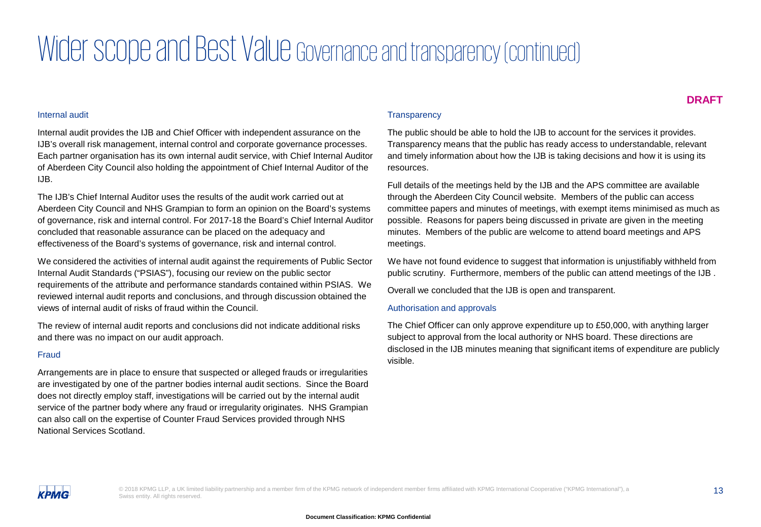# Wider scope and Best Value Governance and transparency (continued)

#### Internal audit

Internal audit provides the IJB and Chief Officer with independent assurance on the IJB's overall risk management, internal control and corporate governance processes. Each partner organisation has its own internal audit service, with Chief Internal Auditor of Aberdeen City Council also holding the appointment of Chief Internal Auditor of the IJB.

The IJB's Chief Internal Auditor uses the results of the audit work carried out at Aberdeen City Council and NHS Grampian to form an opinion on the Board's systems of governance, risk and internal control. For 2017-18 the Board's Chief Internal Auditor concluded that reasonable assurance can be placed on the adequacy and effectiveness of the Board's systems of governance, risk and internal control.

We considered the activities of internal audit against the requirements of Public Sector Internal Audit Standards ("PSIAS"), focusing our review on the public sector requirements of the attribute and performance standards contained within PSIAS. We reviewed internal audit reports and conclusions, and through discussion obtained the views of internal audit of risks of fraud within the Council.

The review of internal audit reports and conclusions did not indicate additional risks and there was no impact on our audit approach.

#### Fraud

Arrangements are in place to ensure that suspected or alleged frauds or irregularities are investigated by one of the partner bodies internal audit sections. Since the Board does not directly employ staff, investigations will be carried out by the internal audit service of the partner body where any fraud or irregularity originates. NHS Grampian can also call on the expertise of Counter Fraud Services provided through NHS National Services Scotland.

#### **Transparency**

The public should be able to hold the IJB to account for the services it provides. Transparency means that the public has ready access to understandable, relevant and timely information about how the IJB is taking decisions and how it is using its resources.

Full details of the meetings held by the IJB and the APS committee are available through the Aberdeen City Council website. Members of the public can access committee papers and minutes of meetings, with exempt items minimised as much as possible. Reasons for papers being discussed in private are given in the meeting minutes. Members of the public are welcome to attend board meetings and APS meetings.

We have not found evidence to suggest that information is unjustifiably withheld from public scrutiny. Furthermore, members of the public can attend meetings of the IJB .

Overall we concluded that the IJB is open and transparent.

#### Authorisation and approvals

The Chief Officer can only approve expenditure up to £50,000, with anything larger subject to approval from the local authority or NHS board. These directions are disclosed in the IJB minutes meaning that significant items of expenditure are publicly visible.

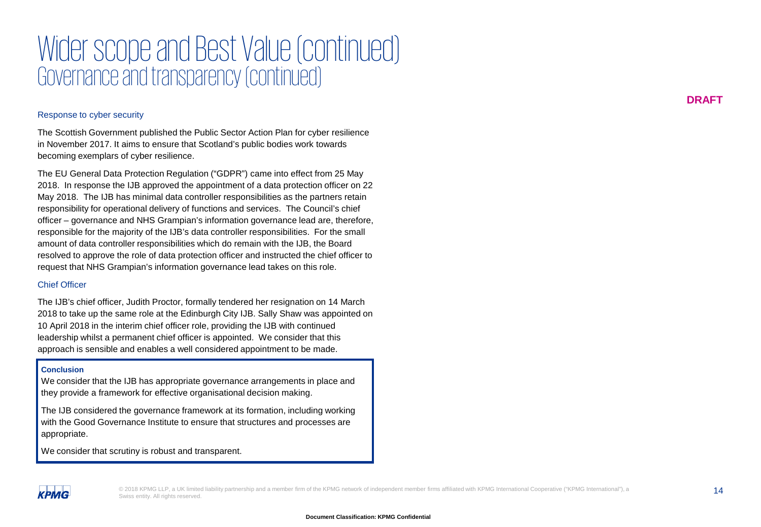## Wider scope and Best Value (continued) Governance and transparency (continued)

#### Response to cyber security

The Scottish Government published the Public Sector Action Plan for cyber resilience in November 2017. It aims to ensure that Scotland's public bodies work towards becoming exemplars of cyber resilience.

The EU General Data Protection Regulation ("GDPR") came into effect from 25 May 2018. In response the IJB approved the appointment of a data protection officer on 22 May 2018. The IJB has minimal data controller responsibilities as the partners retain responsibility for operational delivery of functions and services. The Council's chief officer – governance and NHS Grampian's information governance lead are, therefore, responsible for the majority of the IJB's data controller responsibilities. For the small amount of data controller responsibilities which do remain with the IJB, the Board resolved to approve the role of data protection officer and instructed the chief officer to request that NHS Grampian's information governance lead takes on this role.

#### Chief Officer

The IJB's chief officer, Judith Proctor, formally tendered her resignation on 14 March 2018 to take up the same role at the Edinburgh City IJB. Sally Shaw was appointed on 10 April 2018 in the interim chief officer role, providing the IJB with continued leadership whilst a permanent chief officer is appointed. We consider that this approach is sensible and enables a well considered appointment to be made.

#### **Conclusion**

**КРМG** 

We consider that the IJB has appropriate governance arrangements in place and they provide a framework for effective organisational decision making.

The IJB considered the governance framework at its formation, including working with the Good Governance Institute to ensure that structures and processes are appropriate.

We consider that scrutiny is robust and transparent.

© 2018 KPMG LLP, a UK limited liability partnership and a member firm of the KPMG network of independent member firms affiliated with KPMG International Cooperative ("KPMG International"), a<br>14 Swiss entity. All rights reserved.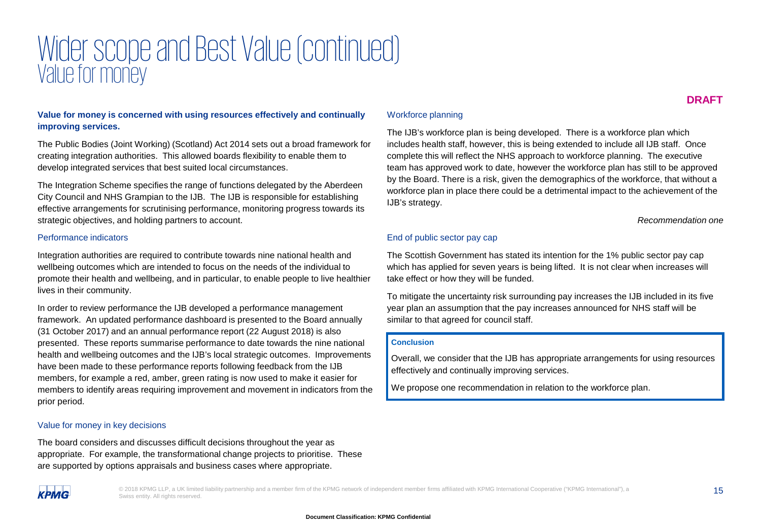## Wider scope and Best Value (continued) Value for money

#### **Value for money is concerned with using resources effectively and continually improving services.**

The Public Bodies (Joint Working) (Scotland) Act 2014 sets out a broad framework for creating integration authorities. This allowed boards flexibility to enable them to develop integrated services that best suited local circumstances.

The Integration Scheme specifies the range of functions delegated by the Aberdeen City Council and NHS Grampian to the IJB. The IJB is responsible for establishing effective arrangements for scrutinising performance, monitoring progress towards its strategic objectives, and holding partners to account.

#### Performance indicators

Integration authorities are required to contribute towards nine national health and wellbeing outcomes which are intended to focus on the needs of the individual to promote their health and wellbeing, and in particular, to enable people to live healthier lives in their community.

In order to review performance the IJB developed a performance management framework. An updated performance dashboard is presented to the Board annually (31 October 2017) and an annual performance report (22 August 2018) is also presented. These reports summarise performance to date towards the nine national health and wellbeing outcomes and the IJB's local strategic outcomes. Improvements have been made to these performance reports following feedback from the IJB members, for example a red, amber, green rating is now used to make it easier for members to identify areas requiring improvement and movement in indicators from the prior period.

#### Value for money in key decisions

The board considers and discusses difficult decisions throughout the year as appropriate. For example, the transformational change projects to prioritise. These are supported by options appraisals and business cases where appropriate.

#### Workforce planning

The IJB's workforce plan is being developed. There is a workforce plan which includes health staff, however, this is being extended to include all IJB staff. Once complete this will reflect the NHS approach to workforce planning. The executive team has approved work to date, however the workforce plan has still to be approved by the Board. There is a risk, given the demographics of the workforce, that without a workforce plan in place there could be a detrimental impact to the achievement of the IJB's strategy.

*Recommendation one*

#### End of public sector pay cap

The Scottish Government has stated its intention for the 1% public sector pay cap which has applied for seven years is being lifted. It is not clear when increases will take effect or how they will be funded.

To mitigate the uncertainty risk surrounding pay increases the IJB included in its five year plan an assumption that the pay increases announced for NHS staff will be similar to that agreed for council staff.

#### **Conclusion**

Overall, we consider that the IJB has appropriate arrangements for using resources effectively and continually improving services.

We propose one recommendation in relation to the workforce plan.



© 2018 KPMG LLP, a UK limited liability partnership and a member firm of the KPMG network of independent member firms affiliated with KPMG International Cooperative ("KPMG International"), a<br>
15 Swiss entity. All rights reserved.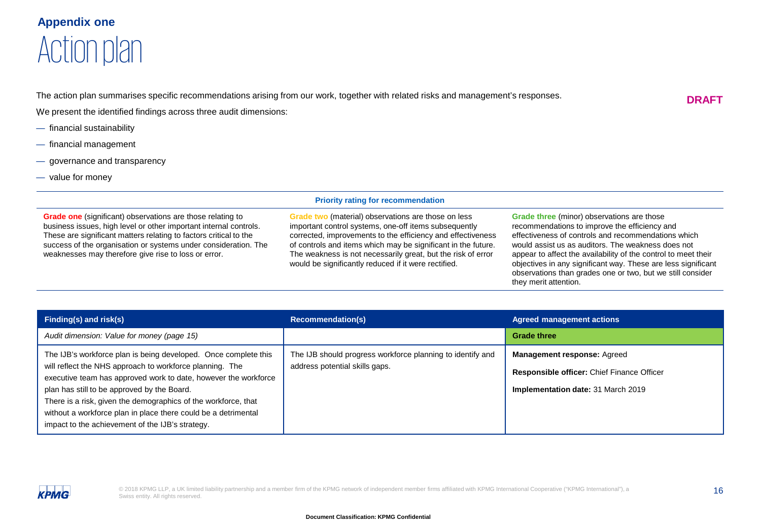### **Appendix one** Action plan

The action plan summarises specific recommendations arising from our work, together with related risks and management's responses.

. We present the identified findings across three audit dimensions:

- financial sustainability
- financial management
- governance and transparency
- value for money

#### **Priority rating for recommendation**

**Grade one** (significant) observations are those relating to business issues, high level or other important internal controls. These are significant matters relating to factors critical to the success of the organisation or systems under consideration. The weaknesses may therefore give rise to loss or error.

**Grade two** (material) observations are those on less important control systems, one-off items subsequently corrected, improvements to the efficiency and effectiveness of controls and items which may be significant in the future. The weakness is not necessarily great, but the risk of error would be significantly reduced if it were rectified.

**Grade three** (minor) observations are those recommendations to improve the efficiency and effectiveness of controls and recommendations which would assist us as auditors. The weakness does not appear to affect the availability of the control to meet their objectives in any significant way. These are less significant observations than grades one or two, but we still consider they merit attention.

| Finding(s) and $risk(s)$                                                                                                                                                                                                                                                                                                                                                                                                              | <b>Recommendation(s)</b>                                                                     | <b>Agreed management actions</b>                                                                                       |
|---------------------------------------------------------------------------------------------------------------------------------------------------------------------------------------------------------------------------------------------------------------------------------------------------------------------------------------------------------------------------------------------------------------------------------------|----------------------------------------------------------------------------------------------|------------------------------------------------------------------------------------------------------------------------|
| Audit dimension: Value for money (page 15)                                                                                                                                                                                                                                                                                                                                                                                            |                                                                                              | <b>Grade three</b>                                                                                                     |
| The IJB's workforce plan is being developed. Once complete this<br>will reflect the NHS approach to workforce planning. The<br>executive team has approved work to date, however the workforce<br>plan has still to be approved by the Board.<br>There is a risk, given the demographics of the workforce, that<br>without a workforce plan in place there could be a detrimental<br>impact to the achievement of the IJB's strategy. | The IJB should progress workforce planning to identify and<br>address potential skills gaps. | <b>Management response: Agreed</b><br>Responsible officer: Chief Finance Officer<br>Implementation date: 31 March 2019 |



**DRAFT**